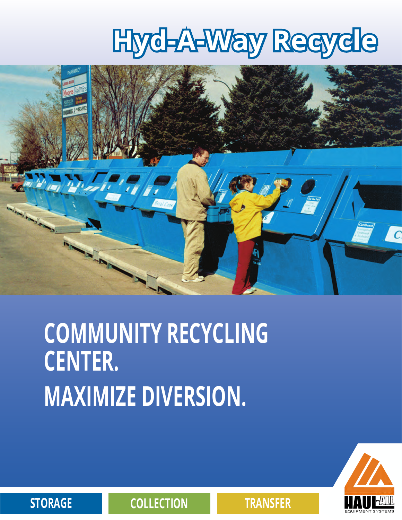# **Hyd-A-Way Recycle**



## **COMMUNITY RECYCLING CENTER. MAXIMIZE DIVERSION.**



**STORAGE COLLECTION TRANSFER**